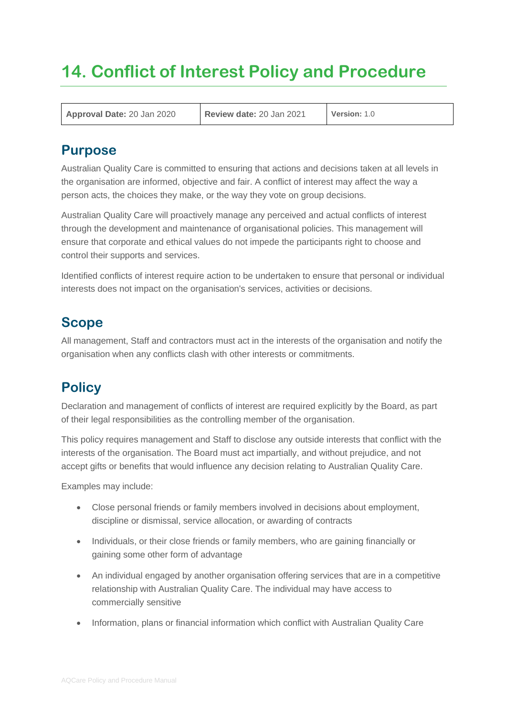# **14. Conflict of Interest Policy and Procedure**

**Approval Date:** 20 Jan 2020 **Review date:** 20 Jan 2021 **Version:** 1.0

### **Purpose**

Australian Quality Care is committed to ensuring that actions and decisions taken at all levels in the organisation are informed, objective and fair. A conflict of interest may affect the way a person acts, the choices they make, or the way they vote on group decisions.

Australian Quality Care will proactively manage any perceived and actual conflicts of interest through the development and maintenance of organisational policies. This management will ensure that corporate and ethical values do not impede the participants right to choose and control their supports and services.

Identified conflicts of interest require action to be undertaken to ensure that personal or individual interests does not impact on the organisation's services, activities or decisions.

# **Scope**

All management, Staff and contractors must act in the interests of the organisation and notify the organisation when any conflicts clash with other interests or commitments.

# **Policy**

Declaration and management of conflicts of interest are required explicitly by the Board, as part of their legal responsibilities as the controlling member of the organisation.

This policy requires management and Staff to disclose any outside interests that conflict with the interests of the organisation. The Board must act impartially, and without prejudice, and not accept gifts or benefits that would influence any decision relating to Australian Quality Care.

Examples may include:

- Close personal friends or family members involved in decisions about employment, discipline or dismissal, service allocation, or awarding of contracts
- Individuals, or their close friends or family members, who are gaining financially or gaining some other form of advantage
- An individual engaged by another organisation offering services that are in a competitive relationship with Australian Quality Care. The individual may have access to commercially sensitive
- Information, plans or financial information which conflict with Australian Quality Care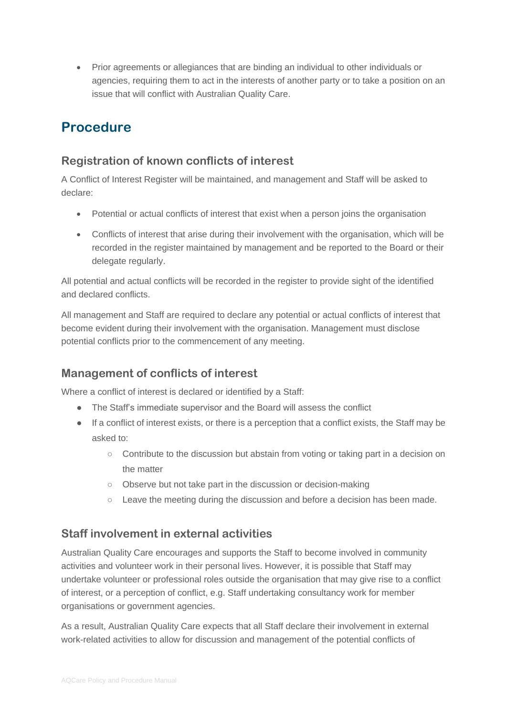• Prior agreements or allegiances that are binding an individual to other individuals or agencies, requiring them to act in the interests of another party or to take a position on an issue that will conflict with Australian Quality Care.

# **Procedure**

#### **Registration of known conflicts of interest**

A Conflict of Interest Register will be maintained, and management and Staff will be asked to declare:

- Potential or actual conflicts of interest that exist when a person joins the organisation
- Conflicts of interest that arise during their involvement with the organisation, which will be recorded in the register maintained by management and be reported to the Board or their delegate regularly.

All potential and actual conflicts will be recorded in the register to provide sight of the identified and declared conflicts.

All management and Staff are required to declare any potential or actual conflicts of interest that become evident during their involvement with the organisation. Management must disclose potential conflicts prior to the commencement of any meeting.

#### **Management of conflicts of interest**

Where a conflict of interest is declared or identified by a Staff:

- The Staff's immediate supervisor and the Board will assess the conflict
- If a conflict of interest exists, or there is a perception that a conflict exists, the Staff may be asked to:
	- Contribute to the discussion but abstain from voting or taking part in a decision on the matter
	- Observe but not take part in the discussion or decision-making
	- $\circ$  Leave the meeting during the discussion and before a decision has been made.

#### **Staff involvement in external activities**

Australian Quality Care encourages and supports the Staff to become involved in community activities and volunteer work in their personal lives. However, it is possible that Staff may undertake volunteer or professional roles outside the organisation that may give rise to a conflict of interest, or a perception of conflict, e.g. Staff undertaking consultancy work for member organisations or government agencies.

As a result, Australian Quality Care expects that all Staff declare their involvement in external work-related activities to allow for discussion and management of the potential conflicts of